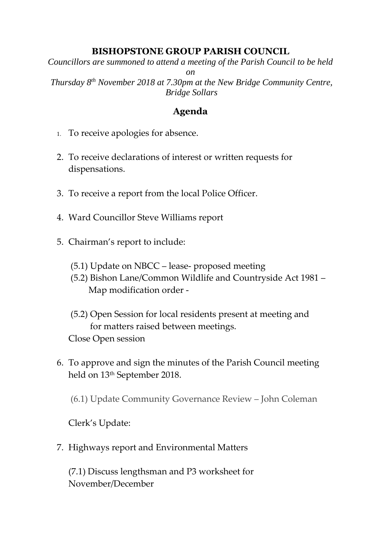## **BISHOPSTONE GROUP PARISH COUNCIL**

*Councillors are summoned to attend a meeting of the Parish Council to be held on*

*Thursday 8 th November 2018 at 7.30pm at the New Bridge Community Centre, Bridge Sollars*

## **Agenda**

- 1. To receive apologies for absence.
- 2. To receive declarations of interest or written requests for dispensations.
- 3. To receive a report from the local Police Officer.
- 4. Ward Councillor Steve Williams report
- 5. Chairman's report to include:
	- (5.1) Update on NBCC lease- proposed meeting
	- (5.2) Bishon Lane/Common Wildlife and Countryside Act 1981 Map modification order -
	- (5.2) Open Session for local residents present at meeting and for matters raised between meetings. Close Open session
- 6. To approve and sign the minutes of the Parish Council meeting held on 13<sup>th</sup> September 2018.

(6.1) Update Community Governance Review – John Coleman

Clerk's Update:

7. Highways report and Environmental Matters

(7.1) Discuss lengthsman and P3 worksheet for November/December